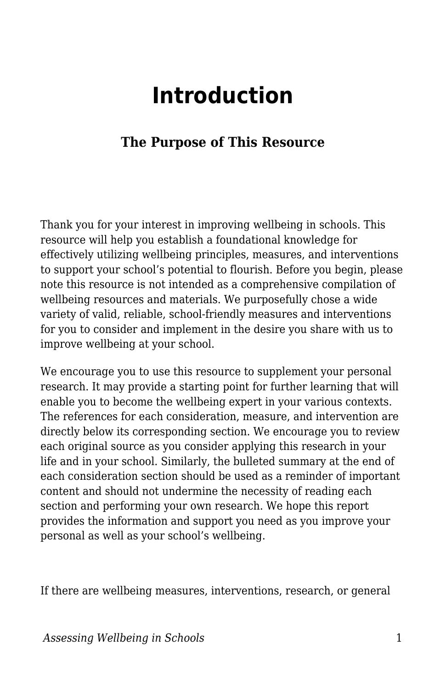## **Introduction**

## **The Purpose of This Resource**

Thank you for your interest in improving wellbeing in schools. This resource will help you establish a foundational knowledge for effectively utilizing wellbeing principles, measures, and interventions to support your school's potential to flourish. Before you begin, please note this resource is not intended as a comprehensive compilation of wellbeing resources and materials. We purposefully chose a wide variety of valid, reliable, school-friendly measures and interventions for you to consider and implement in the desire you share with us to improve wellbeing at your school.

We encourage you to use this resource to supplement your personal research. It may provide a starting point for further learning that will enable you to become the wellbeing expert in your various contexts. The references for each consideration, measure, and intervention are directly below its corresponding section. We encourage you to review each original source as you consider applying this research in your life and in your school. Similarly, the bulleted summary at the end of each consideration section should be used as a reminder of important content and should not undermine the necessity of reading each section and performing your own research. We hope this report provides the information and support you need as you improve your personal as well as your school's wellbeing.

If there are wellbeing measures, interventions, research, or general